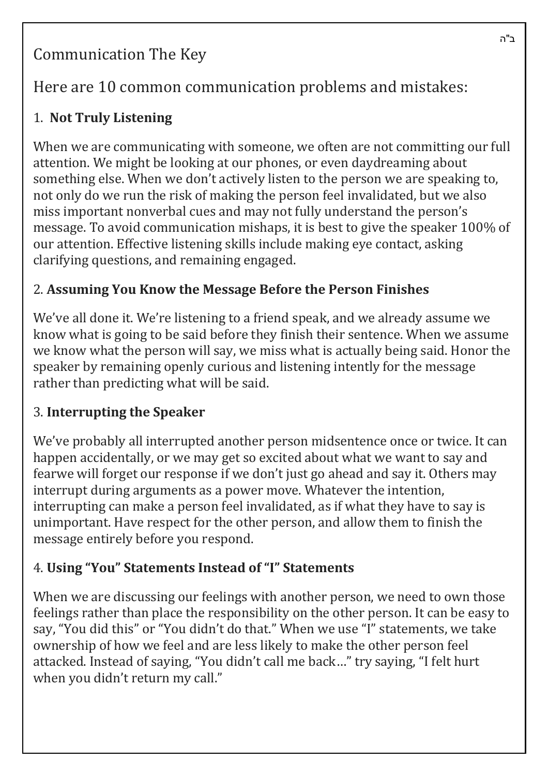# Communication The Key

# Here are 10 common communication problems and mistakes:

## 1. **Not Truly Listening**

When we are communicating with someone, we often are not committing our full attention. We might be looking at our phones, or even daydreaming about something else. When we don't actively listen to the person we are speaking to, not only do we run the risk of making the person feel invalidated, but we also miss important nonverbal cues and may not fully understand the person's message. To avoid communication mishaps, it is best to give the speaker 100% of our attention. Effective listening skills include making eye contact, asking clarifying questions, and remaining engaged.

## 2. **Assuming You Know the Message Before the Person Finishes**

We've all done it. We're listening to a friend speak, and we already assume we know what is going to be said before they finish their sentence. When we assume we know what the person will say, we miss what is actually being said. Honor the speaker by remaining openly curious and listening intently for the message rather than predicting what will be said.

## 3. **Interrupting the Speaker**

We've probably all interrupted another person midsentence once or twice. It can happen accidentally, or we may get so excited about what we want to say and fearwe will forget our response if we don't just go ahead and say it. Others may interrupt during arguments as a power move. Whatever the intention, interrupting can make a person feel invalidated, as if what they have to say is unimportant. Have respect for the other person, and allow them to finish the message entirely before you respond.

## 4. **Using "You" Statements Instead of "I" Statements**

When we are discussing our feelings with another person, we need to own those feelings rather than place the responsibility on the other person. It can be easy to say, "You did this" or "You didn't do that." When we use "I" statements, we take ownership of how we feel and are less likely to make the other person feel attacked. Instead of saying, "You didn't call me back..." try saying, "I felt hurt when you didn't return my call."